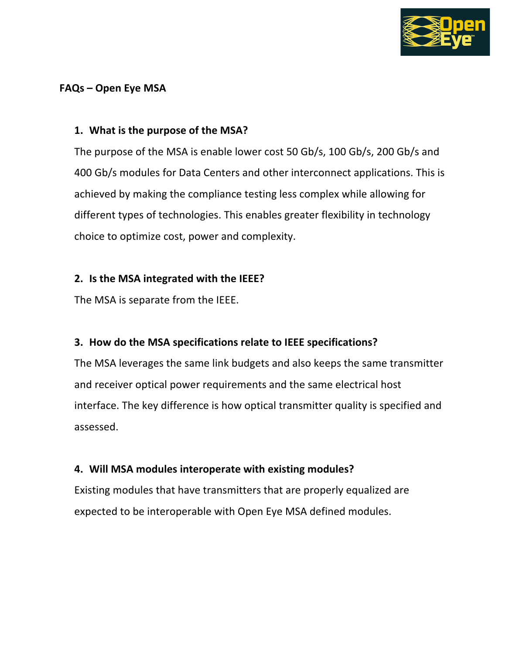

### **FAQs – Open Eye MSA**

#### **1. What is the purpose of the MSA?**

The purpose of the MSA is enable lower cost 50 Gb/s, 100 Gb/s, 200 Gb/s and 400 Gb/s modules for Data Centers and other interconnect applications. This is achieved by making the compliance testing less complex while allowing for different types of technologies. This enables greater flexibility in technology choice to optimize cost, power and complexity.

### **2. Is the MSA integrated with the IEEE?**

The MSA is separate from the IEEE.

## **3. How do the MSA specifications relate to IEEE specifications?**

The MSA leverages the same link budgets and also keeps the same transmitter and receiver optical power requirements and the same electrical host interface. The key difference is how optical transmitter quality is specified and assessed.

## **4. Will MSA modules interoperate with existing modules?**

Existing modules that have transmitters that are properly equalized are expected to be interoperable with Open Eye MSA defined modules.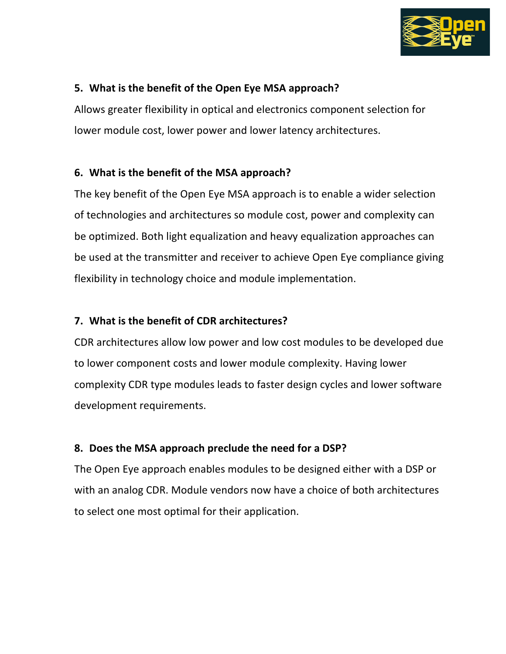

# **5. What is the benefit of the Open Eye MSA approach?**

Allows greater flexibility in optical and electronics component selection for lower module cost, lower power and lower latency architectures.

## **6. What is the benefit of the MSA approach?**

The key benefit of the Open Eye MSA approach is to enable a wider selection of technologies and architectures so module cost, power and complexity can be optimized. Both light equalization and heavy equalization approaches can be used at the transmitter and receiver to achieve Open Eye compliance giving flexibility in technology choice and module implementation.

# **7. What is the benefit of CDR architectures?**

CDR architectures allow low power and low cost modules to be developed due to lower component costs and lower module complexity. Having lower complexity CDR type modules leads to faster design cycles and lower software development requirements.

## **8. Does the MSA approach preclude the need for a DSP?**

The Open Eye approach enables modules to be designed either with a DSP or with an analog CDR. Module vendors now have a choice of both architectures to select one most optimal for their application.